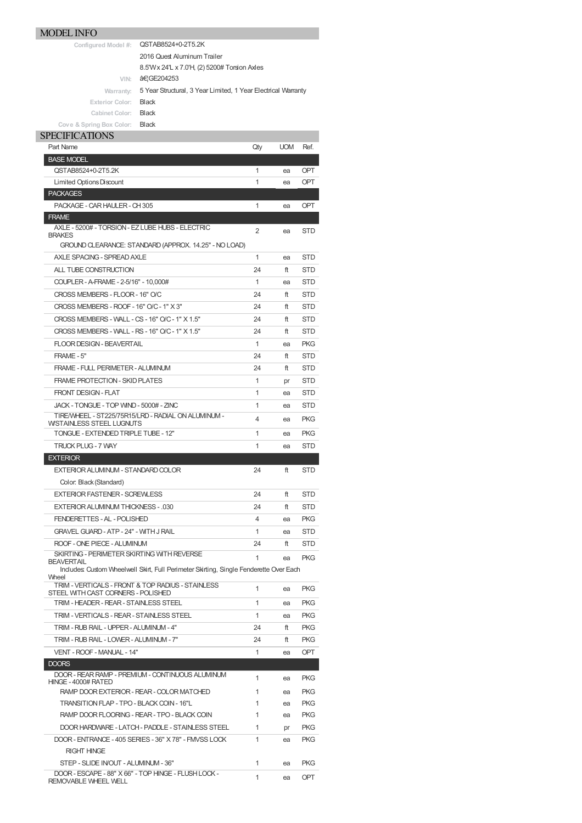## MODEL INFO

| Configured Model #: | QSTAB8524+0-2T5.2K          |  |
|---------------------|-----------------------------|--|
|                     | 2016 Quest Aluminum Trailer |  |

8.5'Wx 24'L x 7.0'H, (2) 5200# Torsion Axles

**VIN: …GE204253** 

Warranty: 5 Year Structural, 3 Year Limited, 1 Year Electrical Warranty

## **Exterior Color:** Black **Cabinet Color:** Black

**Cove & Spring Box Color:** Black

## SPECIFICATIONS

| Part Name                                                                                       | Qty | <b>UOM</b> | Ref.       |
|-------------------------------------------------------------------------------------------------|-----|------------|------------|
| <b>BASE MODEL</b>                                                                               |     |            |            |
| QSTAB8524+0-2T5.2K                                                                              | 1   | ea         | <b>OPT</b> |
| Limited Options Discount                                                                        | 1   | ea         | OPT        |
| <b>PACKAGES</b>                                                                                 |     |            |            |
| PACKAGE - CAR HAULER - CH 305                                                                   | 1   | ea         | <b>OPT</b> |
| <b>FRAME</b>                                                                                    |     |            |            |
| AXLE - 5200# - TORSION - EZ LUBE HUBS - ELECTRIC                                                | 2   | ea         | STD        |
| <b>BRAKES</b><br>GROUND CLEARANCE: STANDARD (APPROX. 14.25" - NO LOAD)                          |     |            |            |
| AXLE SPACING - SPREAD AXLE                                                                      | 1   | ea         | STD        |
| ALL TUBE CONSTRUCTION                                                                           | 24  | ft         | <b>STD</b> |
| COUPLER - A-FRAME - 2-5/16" - 10,000#                                                           | 1   | ea         | <b>STD</b> |
| CROSS MEMBERS - FLOOR - 16" O/C                                                                 | 24  | ft         | <b>STD</b> |
| CROSS MEMBERS - ROOF - 16" O/C - 1" X 3"                                                        | 24  | ft         | <b>STD</b> |
|                                                                                                 |     |            |            |
| CROSS MEMBERS - WALL - CS - 16" O/C - 1" X 1.5"                                                 | 24  | ft         | <b>STD</b> |
| CROSS MEMBERS - WALL - RS - 16" O/C - 1" X 1.5"                                                 | 24  | ft         | <b>STD</b> |
| <b>FLOOR DESIGN - BEAVERTAIL</b>                                                                | 1   | ea         | <b>PKG</b> |
| FRAME - 5"                                                                                      | 24  | ft         | <b>STD</b> |
| FRAME - FULL PERIMETER - ALUMINUM                                                               | 24  | ft         | STD        |
| <b>FRAME PROTECTION - SKID PLATES</b>                                                           | 1   | pr         | STD        |
| <b>FRONT DESIGN - FLAT</b>                                                                      | 1   | ea         | <b>STD</b> |
| JACK - TONGUE - TOP WIND - 5000# - ZINC                                                         | 1   | ea         | <b>STD</b> |
| TIRE/WHEEL - ST225/75R15/LRD - RADIAL ON ALUMINUM -<br><b>WSTAINLESS STEEL LUGNUTS</b>          | 4   | ea         | <b>PKG</b> |
| TONGUE - EXTENDED TRIPLE TUBE - 12"                                                             | 1   | ea         | <b>PKG</b> |
| <b>TRUCK PLUG - 7 WAY</b>                                                                       | 1   | ea         | <b>STD</b> |
| <b>EXTERIOR</b>                                                                                 |     |            |            |
|                                                                                                 |     |            |            |
| EXTERIOR ALUMINUM - STANDARD COLOR                                                              | 24  | ft         | <b>STD</b> |
| Color: Black (Standard)                                                                         |     |            |            |
| <b>EXTERIOR FASTENER - SCREWLESS</b>                                                            | 24  | ft         | STD        |
| <b>EXTERIOR ALUMINUM THICKNESS - .030</b>                                                       | 24  | ft         | <b>STD</b> |
| <b>FENDERETTES - AL - POLISHED</b>                                                              | 4   | ea         | <b>PKG</b> |
| <b>GRAVEL GUARD - ATP - 24" - WITH J RAIL</b>                                                   | 1   | ea         | STD        |
| ROOF - ONE PIECE - ALUMINUM                                                                     | 24  | ft         | STD        |
| SKIRTING - PERIMETER SKIRTING WITH REVERSE                                                      | 1   | ea         | <b>PKG</b> |
| <b>BEAVERTAIL</b>                                                                               |     |            |            |
| Includes: Custom Wheelwell Skirt, Full Perimeter Skirting, Single Fenderette Over Each<br>Wheel |     |            |            |
| TRIM - VERTICALS - FRONT & TOP RADIUS - STAINLESS<br>STEEL WITH CAST CORNERS - POLISHED         | 1   | ea         | <b>PKG</b> |
| TRIM - HEADER - REAR - STAINLESS STEEL                                                          | 1   | ea         | <b>PKG</b> |
| TRIM - VERTICALS - REAR - STAINLESS STEEL                                                       | 1   | ea         | <b>PKG</b> |
| TRIM - RUB RAIL - UPPER - ALUMINUM - 4"                                                         | 24  | ft         | <b>PKG</b> |
| TRIM - RUB RAIL - LOWER - ALUMINUM - 7"                                                         | 24  | ft         | <b>PKG</b> |
| VENT - ROOF - MANUAL - 14"                                                                      | 1   | ea         | <b>OPT</b> |
| <b>DOORS</b>                                                                                    |     |            |            |
| DOOR - REAR RAMP - PREMIUM - CONTINUOUS ALUMINUM                                                | 1   | ea         | <b>PKG</b> |
| HINGE - 4000# RATED<br>RAMP DOOR EXTERIOR - REAR - COLOR MATCHED                                | 1   | ea         | <b>PKG</b> |
| TRANSITION FLAP - TPO - BLACK COIN - 16"L                                                       | 1   | ea         | <b>PKG</b> |
| RAMP DOOR FLOORING - REAR - TPO - BLACK COIN                                                    | 1   | ea         | <b>PKG</b> |
| DOOR HARDWARE - LATCH - PADDLE - STAINLESS STEEL                                                | 1   | pr         | <b>PKG</b> |
| DOOR - ENTRANCE - 405 SERIES - 36" X 78" - FMVSS LOCK                                           | 1   | ea         | <b>PKG</b> |
| <b>RIGHT HINGE</b>                                                                              |     |            |            |
| STEP - SLIDE INOUT - ALUMINUM - 36"                                                             | 1   | ea         | <b>PKG</b> |
| DOOR - ESCAPE - 88" X 66" - TOP HINGE - FLUSH LOCK -<br>REMOVABLE WHEEL WELL                    | 1   | ea         | <b>OPT</b> |